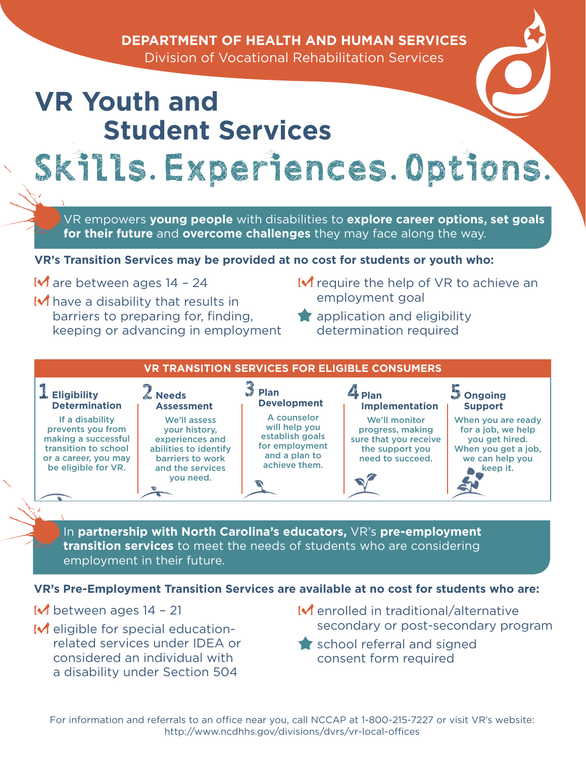### **DEPARTMENT OF HEALTH AND HUMAN SERVICES**

Division of Vocational Rehabilitation Services

# **VR Youth and Student Services** Skills. Experiences. Options.

VR empowers **young people** with disabilities to **explore career options, set goals for their future** and **overcome challenges** they may face along the way.

#### **VR's Transition Services may be provided at no cost for students or youth who:**

are between ages 14 – 24

- have a disability that results in barriers to preparing for, finding, keeping or advancing in employment
- $\mathsf{\mathsf{I}}\mathsf{\mathsf{v}}\mathsf{\mathsf{r}}$  require the help of VR to achieve an employment goal
- **application and eligibility** determination required



In **partnership with North Carolina's educators,** VR's **pre-employment transition services** to meet the needs of students who are considering employment in their future.

#### **VR's Pre-Employment Transition Services are available at no cost for students who are:**

 $\blacksquare$  between ages 14 - 21

- $\blacksquare$  eligible for special educationrelated services under IDEA or considered an individual with a disability under Section 504
- $\mathsf{\mathsf{M}}$  enrolled in traditional/alternative secondary or post-secondary program
- school referral and signed consent form required

For information and referrals to an office near you, call NCCAP at 1-800-215-7227 or visit VR's website: http://www.ncdhhs.gov/divisions/dvrs/vr-local-offices